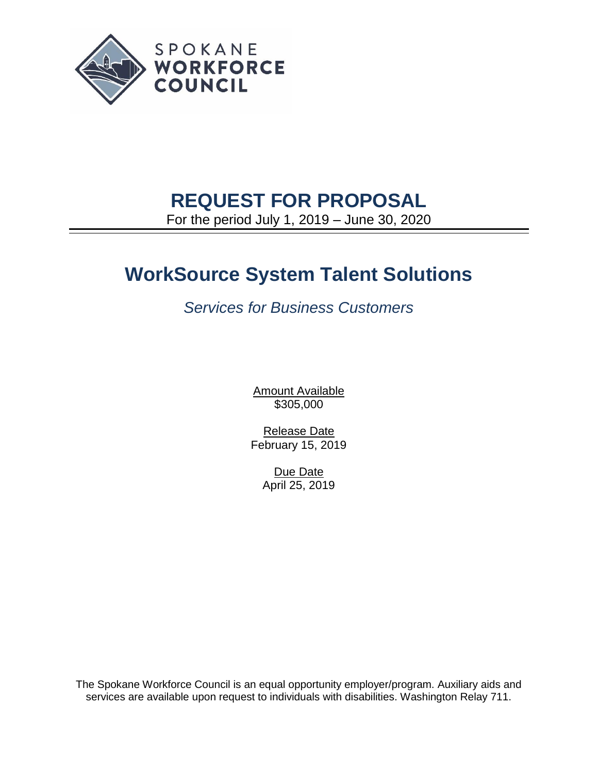

# **REQUEST FOR PROPOSAL**

For the period July 1, 2019 – June 30, 2020

# **WorkSource System Talent Solutions**

*Services for Business Customers*

**Amount Available** \$305,000

Release Date February 15, 2019

> Due Date April 25, 2019

The Spokane Workforce Council is an equal opportunity employer/program. Auxiliary aids and services are available upon request to individuals with disabilities. Washington Relay 711.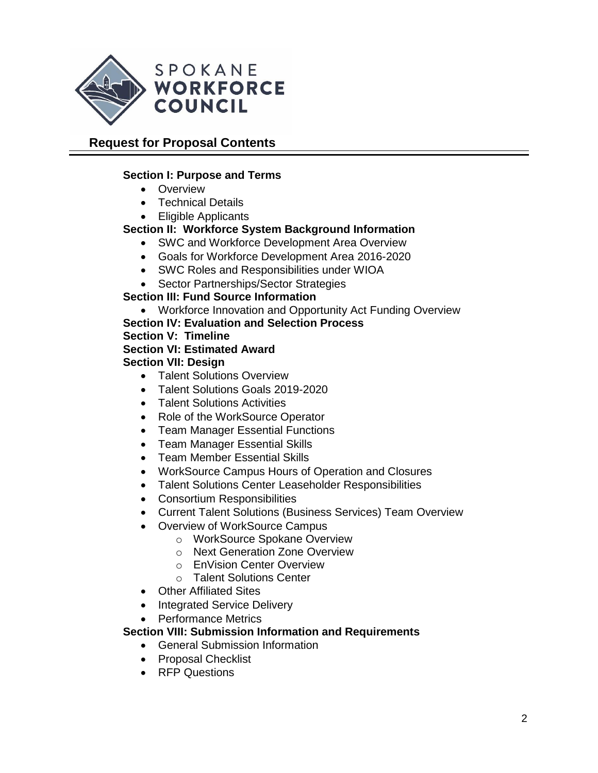

# **Request for Proposal Contents**

## **Section I: Purpose and Terms**

- Overview
- Technical Details
- Eligible Applicants

## **Section II: Workforce System Background Information**

- SWC and Workforce Development Area Overview
- Goals for Workforce Development Area 2016-2020
- SWC Roles and Responsibilities under WIOA
- Sector Partnerships/Sector Strategies

## **Section III: Fund Source Information**

- Workforce Innovation and Opportunity Act Funding Overview
- **Section IV: Evaluation and Selection Process**

## **Section V: Timeline**

## **Section VI: Estimated Award**

## **Section VII: Design**

- Talent Solutions Overview
- Talent Solutions Goals 2019-2020
- Talent Solutions Activities
- Role of the WorkSource Operator
- Team Manager Essential Functions
- Team Manager Essential Skills
- Team Member Essential Skills
- WorkSource Campus Hours of Operation and Closures
- Talent Solutions Center Leaseholder Responsibilities
- Consortium Responsibilities
- Current Talent Solutions (Business Services) Team Overview
- Overview of WorkSource Campus
	- o WorkSource Spokane Overview
	- o Next Generation Zone Overview
	- o EnVision Center Overview
	- o Talent Solutions Center
- Other Affiliated Sites
- Integrated Service Delivery
- Performance Metrics

## **Section VIII: Submission Information and Requirements**

- General Submission Information
- Proposal Checklist
- RFP Questions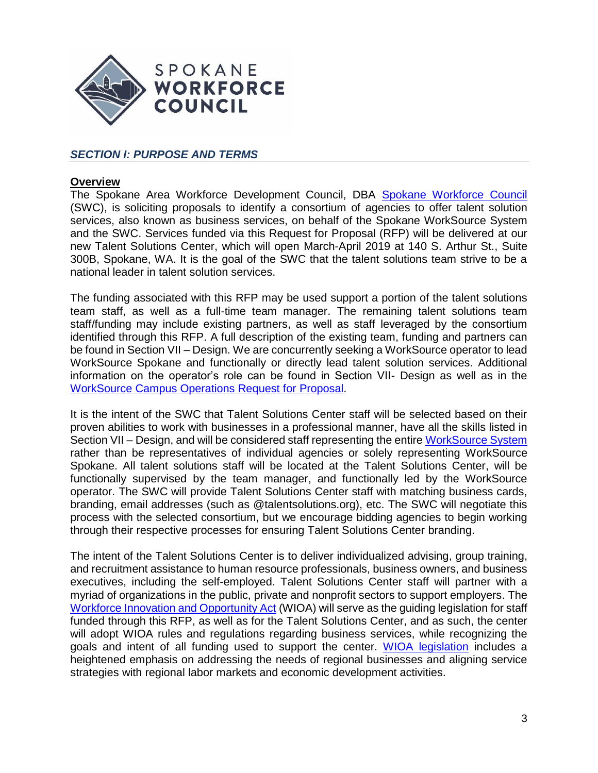

## *SECTION I: PURPOSE AND TERMS*

#### **Overview**

The Spokane Area Workforce Development Council, DBA [Spokane Workforce Council](https://wdcspokane.com/) (SWC), is soliciting proposals to identify a consortium of agencies to offer talent solution services, also known as business services, on behalf of the Spokane WorkSource System and the SWC. Services funded via this Request for Proposal (RFP) will be delivered at our new Talent Solutions Center, which will open March-April 2019 at 140 S. Arthur St., Suite 300B, Spokane, WA. It is the goal of the SWC that the talent solutions team strive to be a national leader in talent solution services.

The funding associated with this RFP may be used support a portion of the talent solutions team staff, as well as a full-time team manager. The remaining talent solutions team staff/funding may include existing partners, as well as staff leveraged by the consortium identified through this RFP. A full description of the existing team, funding and partners can be found in Section VII – Design. We are concurrently seeking a WorkSource operator to lead WorkSource Spokane and functionally or directly lead talent solution services. Additional information on the operator's role can be found in Section VII- Design as well as in the [WorkSource Campus Operations Request for Proposal.](https://wdcspokane.com/rfps)

It is the intent of the SWC that Talent Solutions Center staff will be selected based on their proven abilities to work with businesses in a professional manner, have all the skills listed in Section VII – Design, and will be considered staff representing the entire [WorkSource System](https://worksourcespokane.com/partners) rather than be representatives of individual agencies or solely representing WorkSource Spokane. All talent solutions staff will be located at the Talent Solutions Center, will be functionally supervised by the team manager, and functionally led by the WorkSource operator. The SWC will provide Talent Solutions Center staff with matching business cards, branding, email addresses (such as @talentsolutions.org), etc. The SWC will negotiate this process with the selected consortium, but we encourage bidding agencies to begin working through their respective processes for ensuring Talent Solutions Center branding.

The intent of the Talent Solutions Center is to deliver individualized advising, group training, and recruitment assistance to human resource professionals, business owners, and business executives, including the self-employed. Talent Solutions Center staff will partner with a myriad of organizations in the public, private and nonprofit sectors to support employers. The [Workforce Innovation and Opportunity Act](https://www.doleta.gov/wioa/) (WIOA) will serve as the guiding legislation for staff funded through this RFP, as well as for the Talent Solutions Center, and as such, the center will adopt WIOA rules and regulations regarding business services, while recognizing the goals and intent of all funding used to support the center. [WIOA legislation](https://www.doleta.gov/wioa/) includes a heightened emphasis on addressing the needs of regional businesses and aligning service strategies with regional labor markets and economic development activities.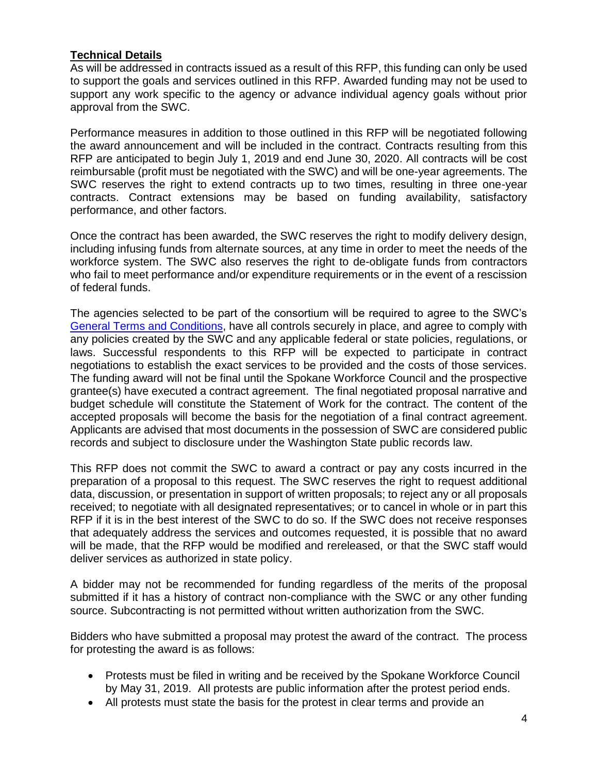#### **Technical Details**

As will be addressed in contracts issued as a result of this RFP, this funding can only be used to support the goals and services outlined in this RFP. Awarded funding may not be used to support any work specific to the agency or advance individual agency goals without prior approval from the SWC.

Performance measures in addition to those outlined in this RFP will be negotiated following the award announcement and will be included in the contract. Contracts resulting from this RFP are anticipated to begin July 1, 2019 and end June 30, 2020. All contracts will be cost reimbursable (profit must be negotiated with the SWC) and will be one-year agreements. The SWC reserves the right to extend contracts up to two times, resulting in three one-year contracts. Contract extensions may be based on funding availability, satisfactory performance, and other factors.

Once the contract has been awarded, the SWC reserves the right to modify delivery design, including infusing funds from alternate sources, at any time in order to meet the needs of the workforce system. The SWC also reserves the right to de-obligate funds from contractors who fail to meet performance and/or expenditure requirements or in the event of a rescission of federal funds.

The agencies selected to be part of the consortium will be required to agree to the SWC's [General Terms and Conditions,](https://wdcspokane.com/rfps) have all controls securely in place, and agree to comply with any policies created by the SWC and any applicable federal or state policies, regulations, or laws. Successful respondents to this RFP will be expected to participate in contract negotiations to establish the exact services to be provided and the costs of those services. The funding award will not be final until the Spokane Workforce Council and the prospective grantee(s) have executed a contract agreement. The final negotiated proposal narrative and budget schedule will constitute the Statement of Work for the contract. The content of the accepted proposals will become the basis for the negotiation of a final contract agreement. Applicants are advised that most documents in the possession of SWC are considered public records and subject to disclosure under the Washington State public records law.

This RFP does not commit the SWC to award a contract or pay any costs incurred in the preparation of a proposal to this request. The SWC reserves the right to request additional data, discussion, or presentation in support of written proposals; to reject any or all proposals received; to negotiate with all designated representatives; or to cancel in whole or in part this RFP if it is in the best interest of the SWC to do so. If the SWC does not receive responses that adequately address the services and outcomes requested, it is possible that no award will be made, that the RFP would be modified and rereleased, or that the SWC staff would deliver services as authorized in state policy.

A bidder may not be recommended for funding regardless of the merits of the proposal submitted if it has a history of contract non-compliance with the SWC or any other funding source. Subcontracting is not permitted without written authorization from the SWC.

Bidders who have submitted a proposal may protest the award of the contract. The process for protesting the award is as follows:

- Protests must be filed in writing and be received by the Spokane Workforce Council by May 31, 2019. All protests are public information after the protest period ends.
- All protests must state the basis for the protest in clear terms and provide an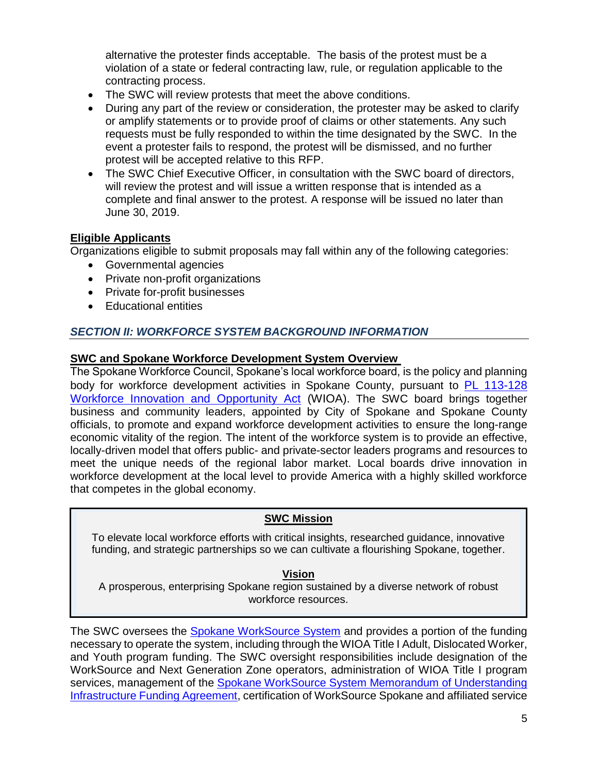alternative the protester finds acceptable. The basis of the protest must be a violation of a state or federal contracting law, rule, or regulation applicable to the contracting process.

- The SWC will review protests that meet the above conditions.
- During any part of the review or consideration, the protester may be asked to clarify or amplify statements or to provide proof of claims or other statements. Any such requests must be fully responded to within the time designated by the SWC. In the event a protester fails to respond, the protest will be dismissed, and no further protest will be accepted relative to this RFP.
- The SWC Chief Executive Officer, in consultation with the SWC board of directors, will review the protest and will issue a written response that is intended as a complete and final answer to the protest. A response will be issued no later than June 30, 2019.

## **Eligible Applicants**

Organizations eligible to submit proposals may fall within any of the following categories:

- Governmental agencies
- Private non-profit organizations
- Private for-profit businesses
- Educational entities

## *SECTION II: WORKFORCE SYSTEM BACKGROUND INFORMATION*

#### **SWC and Spokane Workforce Development System Overview**

The Spokane Workforce Council, Spokane's local workforce board, is the policy and planning body for workforce development activities in Spokane County, pursuant to [PL 113-128](https://www.govinfo.gov/content/pkg/PLAW-113publ128/pdf/PLAW-113publ128.pdf)  [Workforce Innovation and Opportunity Act](https://www.govinfo.gov/content/pkg/PLAW-113publ128/pdf/PLAW-113publ128.pdf) (WIOA). The SWC board brings together business and community leaders, appointed by City of Spokane and Spokane County officials, to promote and expand workforce development activities to ensure the long-range economic vitality of the region. The intent of the workforce system is to provide an effective, locally-driven model that offers public- and private-sector leaders programs and resources to meet the unique needs of the regional labor market. Local boards drive innovation in workforce development at the local level to provide America with a highly skilled workforce that competes in the global economy.

#### **SWC Mission**

To elevate local workforce efforts with critical insights, researched guidance, innovative funding, and strategic partnerships so we can cultivate a flourishing Spokane, together.

#### **Vision**

A prosperous, enterprising Spokane region sustained by a diverse network of robust workforce resources.

The SWC oversees the [Spokane WorkSource System](https://wdcspokane.com/job-seeker-resources) and provides a portion of the funding necessary to operate the system, including through the WIOA Title I Adult, Dislocated Worker, and Youth program funding. The SWC oversight responsibilities include designation of the WorkSource and Next Generation Zone operators, administration of WIOA Title I program services, management of the Spokane WorkSource System Memorandum of Understanding [Infrastructure Funding Agreement,](https://wdcspokane.com/plans-mous) certification of WorkSource Spokane and affiliated service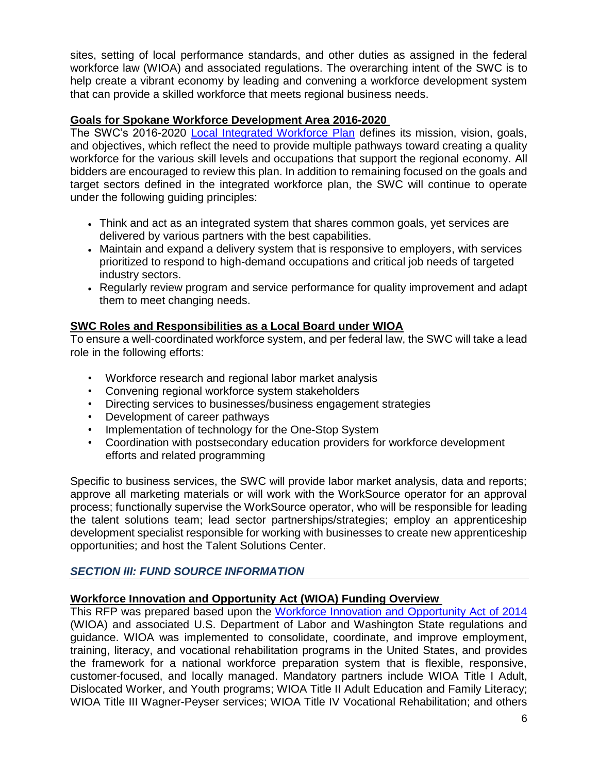sites, setting of local performance standards, and other duties as assigned in the federal workforce law (WIOA) and associated regulations. The overarching intent of the SWC is to help create a vibrant economy by leading and convening a workforce development system that can provide a skilled workforce that meets regional business needs.

#### **Goals for Spokane Workforce Development Area 2016-2020**

The SWC's 2016-2020 [Local Integrated Workforce Plan](https://wdcspokane.com/core/files/wdcspokane/uploads/files/SAWDC%20WIOA%20Local%20Integrated%20Workforce%20Plan%20for%202016-2020_Final.pdf) defines its mission, vision, goals, and objectives, which reflect the need to provide multiple pathways toward creating a quality workforce for the various skill levels and occupations that support the regional economy. All bidders are encouraged to review this plan. In addition to remaining focused on the goals and target sectors defined in the integrated workforce plan, the SWC will continue to operate under the following guiding principles:

- Think and act as an integrated system that shares common goals, yet services are delivered by various partners with the best capabilities.
- Maintain and expand a delivery system that is responsive to employers, with services prioritized to respond to high-demand occupations and critical job needs of targeted industry sectors.
- Regularly review program and service performance for quality improvement and adapt them to meet changing needs.

## **SWC Roles and Responsibilities as a Local Board under WIOA**

To ensure a well-coordinated workforce system, and per federal law, the SWC will take a lead role in the following efforts:

- Workforce research and regional labor market analysis
- Convening regional workforce system stakeholders
- Directing services to businesses/business engagement strategies
- Development of career pathways
- Implementation of technology for the One-Stop System
- Coordination with postsecondary education providers for workforce development efforts and related programming

Specific to business services, the SWC will provide labor market analysis, data and reports; approve all marketing materials or will work with the WorkSource operator for an approval process; functionally supervise the WorkSource operator, who will be responsible for leading the talent solutions team; lead sector partnerships/strategies; employ an apprenticeship development specialist responsible for working with businesses to create new apprenticeship opportunities; and host the Talent Solutions Center.

## *SECTION III: FUND SOURCE INFORMATION*

## **Workforce Innovation and Opportunity Act (WIOA) Funding Overview**

This RFP was prepared based upon the [Workforce Innovation and Opportunity Act of 2014](https://www.doleta.gov/wioa/) (WIOA) and associated U.S. Department of Labor and Washington State regulations and guidance. WIOA was implemented to consolidate, coordinate, and improve employment, training, literacy, and vocational rehabilitation programs in the United States, and provides the framework for a national workforce preparation system that is flexible, responsive, customer-focused, and locally managed. Mandatory partners include WIOA Title I Adult, Dislocated Worker, and Youth programs; WIOA Title II Adult Education and Family Literacy; WIOA Title III Wagner-Peyser services; WIOA Title IV Vocational Rehabilitation; and others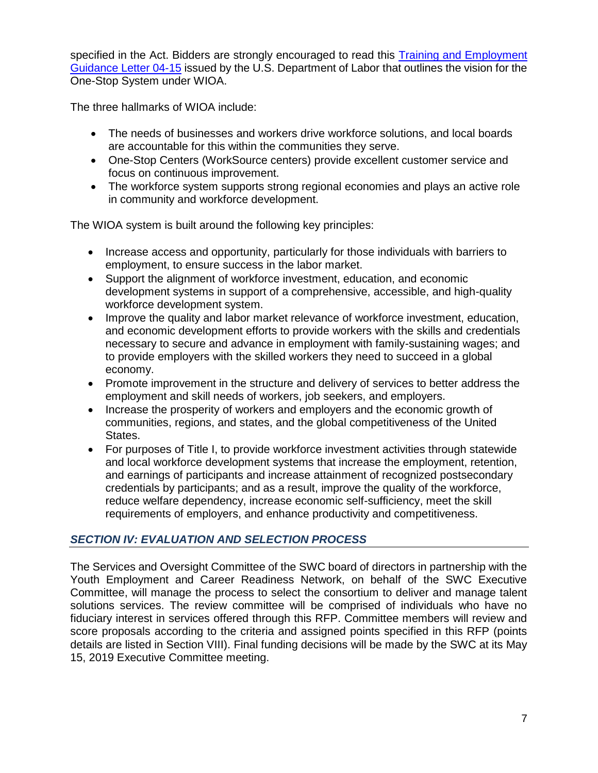specified in the Act. Bidders are strongly encouraged to read this [Training and Employment](https://wdr.doleta.gov/directives/corr_doc.cfm?DOCN=6455)  [Guidance Letter](https://wdr.doleta.gov/directives/corr_doc.cfm?DOCN=6455) 04-15 issued by the U.S. Department of Labor that outlines the vision for the One-Stop System under WIOA.

The three hallmarks of WIOA include:

- The needs of businesses and workers drive workforce solutions, and local boards are accountable for this within the communities they serve.
- One-Stop Centers (WorkSource centers) provide excellent customer service and focus on continuous improvement.
- The workforce system supports strong regional economies and plays an active role in community and workforce development.

The WIOA system is built around the following key principles:

- Increase access and opportunity, particularly for those individuals with barriers to employment, to ensure success in the labor market.
- Support the alignment of workforce investment, education, and economic development systems in support of a comprehensive, accessible, and high-quality workforce development system.
- Improve the quality and labor market relevance of workforce investment, education, and economic development efforts to provide workers with the skills and credentials necessary to secure and advance in employment with family-sustaining wages; and to provide employers with the skilled workers they need to succeed in a global economy.
- Promote improvement in the structure and delivery of services to better address the employment and skill needs of workers, job seekers, and employers.
- Increase the prosperity of workers and employers and the economic growth of communities, regions, and states, and the global competitiveness of the United States.
- For purposes of Title I, to provide workforce investment activities through statewide and local workforce development systems that increase the employment, retention, and earnings of participants and increase attainment of recognized postsecondary credentials by participants; and as a result, improve the quality of the workforce, reduce welfare dependency, increase economic self-sufficiency, meet the skill requirements of employers, and enhance productivity and competitiveness.

## *SECTION IV: EVALUATION AND SELECTION PROCESS*

The Services and Oversight Committee of the SWC board of directors in partnership with the Youth Employment and Career Readiness Network, on behalf of the SWC Executive Committee, will manage the process to select the consortium to deliver and manage talent solutions services. The review committee will be comprised of individuals who have no fiduciary interest in services offered through this RFP. Committee members will review and score proposals according to the criteria and assigned points specified in this RFP (points details are listed in Section VIII). Final funding decisions will be made by the SWC at its May 15, 2019 Executive Committee meeting.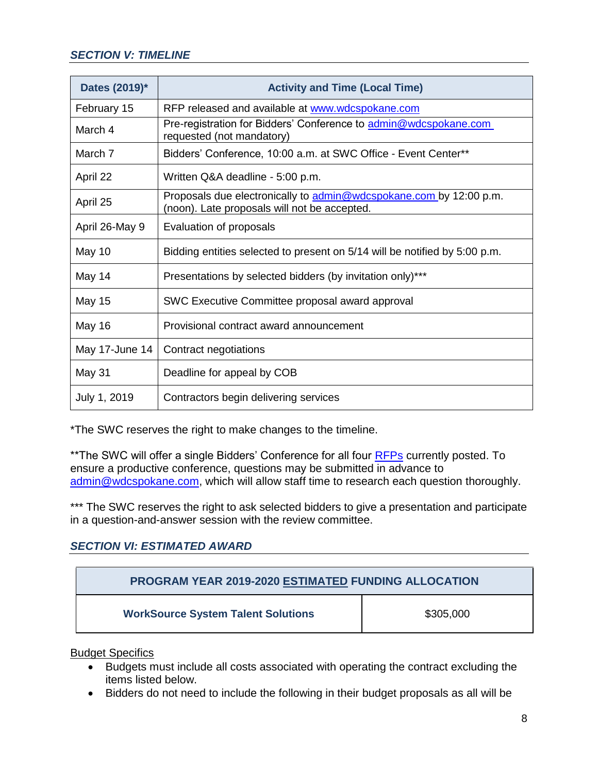## *SECTION V: TIMELINE*

| Dates (2019)*  | <b>Activity and Time (Local Time)</b>                                                                              |  |
|----------------|--------------------------------------------------------------------------------------------------------------------|--|
| February 15    | RFP released and available at www.wdcspokane.com                                                                   |  |
| March 4        | Pre-registration for Bidders' Conference to admin@wdcspokane.com<br>requested (not mandatory)                      |  |
| March 7        | Bidders' Conference, 10:00 a.m. at SWC Office - Event Center**                                                     |  |
| April 22       | Written Q&A deadline - 5:00 p.m.                                                                                   |  |
| April 25       | Proposals due electronically to admin@wdcspokane.com by 12:00 p.m.<br>(noon). Late proposals will not be accepted. |  |
| April 26-May 9 | Evaluation of proposals                                                                                            |  |
| May 10         | Bidding entities selected to present on 5/14 will be notified by 5:00 p.m.                                         |  |
| May 14         | Presentations by selected bidders (by invitation only)***                                                          |  |
| <b>May 15</b>  | SWC Executive Committee proposal award approval                                                                    |  |
| <b>May 16</b>  | Provisional contract award announcement                                                                            |  |
| May 17-June 14 | Contract negotiations                                                                                              |  |
| May 31         | Deadline for appeal by COB                                                                                         |  |
| July 1, 2019   | Contractors begin delivering services                                                                              |  |

\*The SWC reserves the right to make changes to the timeline.

\*\*The SWC will offer a single Bidders' Conference for all four **RFPs** currently posted. To ensure a productive conference, questions may be submitted in advance to [admin@wdcspokane.com,](mailto:admin@wdcspokane.com) which will allow staff time to research each question thoroughly.

\*\*\* The SWC reserves the right to ask selected bidders to give a presentation and participate in a question-and-answer session with the review committee.

## *SECTION VI: ESTIMATED AWARD*

| <b>PROGRAM YEAR 2019-2020 ESTIMATED FUNDING ALLOCATION</b> |           |  |
|------------------------------------------------------------|-----------|--|
| <b>WorkSource System Talent Solutions</b>                  | \$305,000 |  |

Budget Specifics

- Budgets must include all costs associated with operating the contract excluding the items listed below.
- Bidders do not need to include the following in their budget proposals as all will be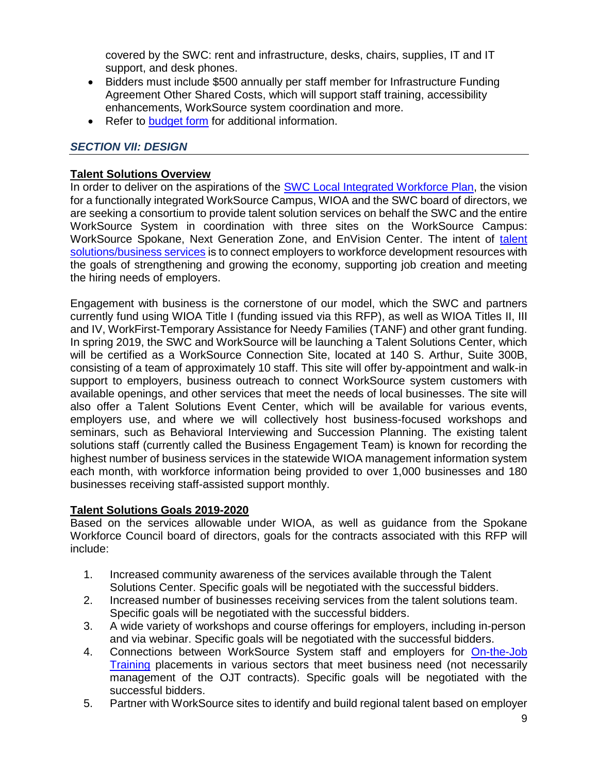covered by the SWC: rent and infrastructure, desks, chairs, supplies, IT and IT support, and desk phones.

- Bidders must include \$500 annually per staff member for Infrastructure Funding Agreement Other Shared Costs, which will support staff training, accessibility enhancements, WorkSource system coordination and more.
- Refer to **budget form** for additional information.

## *SECTION VII: DESIGN*

#### **Talent Solutions Overview**

In order to deliver on the aspirations of the [SWC Local Integrated](https://wdcspokane.com/core/files/wdcspokane/uploads/files/SAWDC%20WIOA%20Local%20Integrated%20Workforce%20Plan%20for%202016-2020_Final.pdf) Workforce Plan, the vision for a functionally integrated WorkSource Campus, WIOA and the SWC board of directors, we are seeking a consortium to provide talent solution services on behalf the SWC and the entire WorkSource System in coordination with three sites on the WorkSource Campus: WorkSource Spokane, Next Generation Zone, and EnVision Center. The intent of [talent](https://wdcspokane.com/employer-resources)  [solutions/](https://wdcspokane.com/employer-resources)business services is to connect employers to workforce development resources with the goals of strengthening and growing the economy, supporting job creation and meeting the hiring needs of employers.

Engagement with business is the cornerstone of our model, which the SWC and partners currently fund using WIOA Title I (funding issued via this RFP), as well as WIOA Titles II, III and IV, WorkFirst-Temporary Assistance for Needy Families (TANF) and other grant funding. In spring 2019, the SWC and WorkSource will be launching a Talent Solutions Center, which will be certified as a WorkSource Connection Site, located at 140 S. Arthur, Suite 300B, consisting of a team of approximately 10 staff. This site will offer by-appointment and walk-in support to employers, business outreach to connect WorkSource system customers with available openings, and other services that meet the needs of local businesses. The site will also offer a Talent Solutions Event Center, which will be available for various events, employers use, and where we will collectively host business-focused workshops and seminars, such as Behavioral Interviewing and Succession Planning. The existing talent solutions staff (currently called the Business Engagement Team) is known for recording the highest number of business services in the statewide WIOA management information system each month, with workforce information being provided to over 1,000 businesses and 180 businesses receiving staff-assisted support monthly.

## **Talent Solutions Goals 2019-2020**

Based on the services allowable under WIOA, as well as guidance from the Spokane Workforce Council board of directors, goals for the contracts associated with this RFP will include:

- 1. Increased community awareness of the services available through the Talent Solutions Center. Specific goals will be negotiated with the successful bidders.
- 2. Increased number of businesses receiving services from the talent solutions team. Specific goals will be negotiated with the successful bidders.
- 3. A wide variety of workshops and course offerings for employers, including in-person and via webinar. Specific goals will be negotiated with the successful bidders.
- 4. Connections between WorkSource System staff and employers for [On-the-Job](https://www.law.cornell.edu/cfr/text/20/680.700)  [Training](https://www.law.cornell.edu/cfr/text/20/680.700) placements in various sectors that meet business need (not necessarily management of the OJT contracts). Specific goals will be negotiated with the successful bidders.
- 5. Partner with WorkSource sites to identify and build regional talent based on employer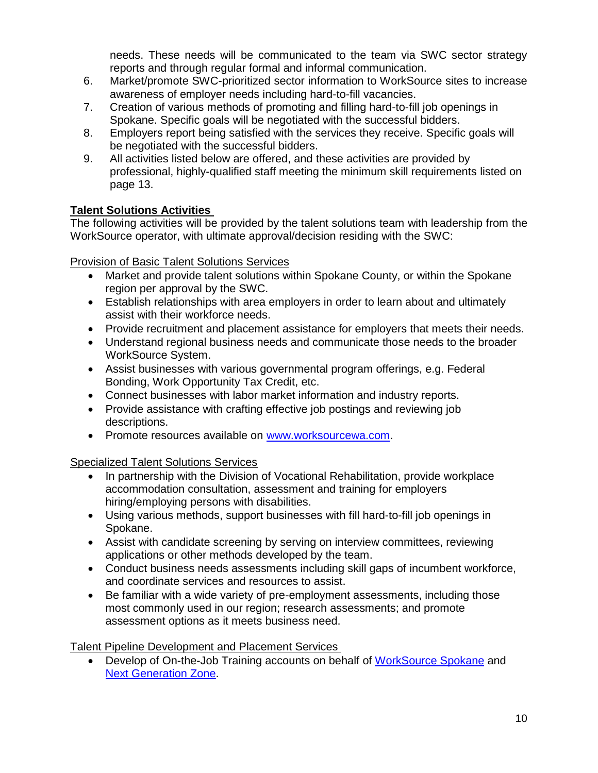needs. These needs will be communicated to the team via SWC sector strategy reports and through regular formal and informal communication.

- 6. Market/promote SWC-prioritized sector information to WorkSource sites to increase awareness of employer needs including hard-to-fill vacancies.
- 7. Creation of various methods of promoting and filling hard-to-fill job openings in Spokane. Specific goals will be negotiated with the successful bidders.
- 8. Employers report being satisfied with the services they receive. Specific goals will be negotiated with the successful bidders.
- 9. All activities listed below are offered, and these activities are provided by professional, highly-qualified staff meeting the minimum skill requirements listed on page 13.

## **Talent Solutions Activities**

The following activities will be provided by the talent solutions team with leadership from the WorkSource operator, with ultimate approval/decision residing with the SWC:

Provision of Basic Talent Solutions Services

- Market and provide talent solutions within Spokane County, or within the Spokane region per approval by the SWC.
- Establish relationships with area employers in order to learn about and ultimately assist with their workforce needs.
- Provide recruitment and placement assistance for employers that meets their needs.
- Understand regional business needs and communicate those needs to the broader WorkSource System.
- Assist businesses with various governmental program offerings, e.g. Federal Bonding, Work Opportunity Tax Credit, etc.
- Connect businesses with labor market information and industry reports.
- Provide assistance with crafting effective job postings and reviewing job descriptions.
- Promote resources available on [www.worksourcewa.com.](file://///SWC-DC/SWC%20Share/Grants-Contracts-Proposals/WIOA%20PY19-20/RFP/Drafts/Business%20Services/www.worksourcewa.com)

Specialized Talent Solutions Services

- In partnership with the Division of Vocational Rehabilitation, provide workplace accommodation consultation, assessment and training for employers hiring/employing persons with disabilities.
- Using various methods, support businesses with fill hard-to-fill job openings in Spokane.
- Assist with candidate screening by serving on interview committees, reviewing applications or other methods developed by the team.
- Conduct business needs assessments including skill gaps of incumbent workforce, and coordinate services and resources to assist.
- Be familiar with a wide variety of pre-employment assessments, including those most commonly used in our region; research assessments; and promote assessment options as it meets business need.

## Talent Pipeline Development and Placement Services

• Develop of On-the-Job Training accounts on behalf of [WorkSource Spokane](https://worksourcespokane.com/) and [Next Generation Zone.](https://nextgenzone.org/)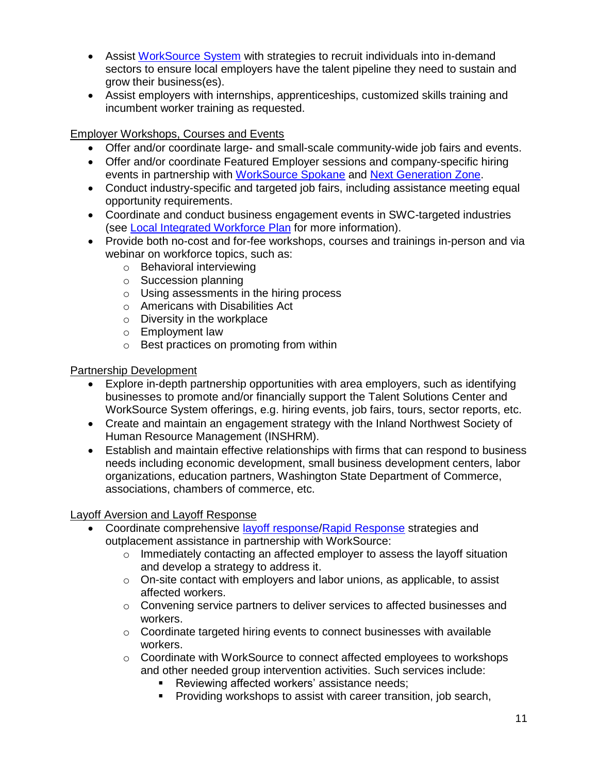- Assist [WorkSource System](https://worksourcespokane.com/partners) with strategies to recruit individuals into in-demand sectors to ensure local employers have the talent pipeline they need to sustain and grow their business(es).
- Assist employers with internships, apprenticeships, customized skills training and incumbent worker training as requested.

## Employer Workshops, Courses and Events

- Offer and/or coordinate large- and small-scale community-wide job fairs and events.
- Offer and/or coordinate Featured Employer sessions and company-specific hiring events in partnership with [WorkSource Spokane](https://worksourcespokane.com/) and [Next Generation Zone.](https://nextgenzone.org/)
- Conduct industry-specific and targeted job fairs, including assistance meeting equal opportunity requirements.
- Coordinate and conduct business engagement events in SWC-targeted industries (see [Local Integrated Workforce Plan](https://wdcspokane.com/core/files/wdcspokane/uploads/files/SAWDC%20WIOA%20Local%20Integrated%20Workforce%20Plan%20for%202016-2020_Final.pdf) for more information).
- Provide both no-cost and for-fee workshops, courses and trainings in-person and via webinar on workforce topics, such as:
	- o Behavioral interviewing
	- o Succession planning
	- o Using assessments in the hiring process
	- o Americans with Disabilities Act
	- $\circ$  Diversity in the workplace
	- o Employment law
	- o Best practices on promoting from within

## Partnership Development

- Explore in-depth partnership opportunities with area employers, such as identifying businesses to promote and/or financially support the Talent Solutions Center and WorkSource System offerings, e.g. hiring events, job fairs, tours, sector reports, etc.
- Create and maintain an engagement strategy with the Inland Northwest Society of Human Resource Management (INSHRM).
- Establish and maintain effective relationships with firms that can respond to business needs including economic development, small business development centers, labor organizations, education partners, Washington State Department of Commerce, associations, chambers of commerce, etc.

# Layoff Aversion and Layoff Response

- Coordinate comprehensive [layoff response/](https://www.doleta.gov/layoff/rapid.cfm)[Rapid Response](http://media.wpc.wa.gov/media/WPC/adm/policy/5603.pdf) strategies and outplacement assistance in partnership with WorkSource:
	- $\circ$  Immediately contacting an affected employer to assess the layoff situation and develop a strategy to address it.
	- o On-site contact with employers and labor unions, as applicable, to assist affected workers.
	- $\circ$  Convening service partners to deliver services to affected businesses and workers.
	- $\circ$  Coordinate targeted hiring events to connect businesses with available workers.
	- $\circ$  Coordinate with WorkSource to connect affected employees to workshops and other needed group intervention activities. Such services include:
		- Reviewing affected workers' assistance needs;
		- Providing workshops to assist with career transition, job search,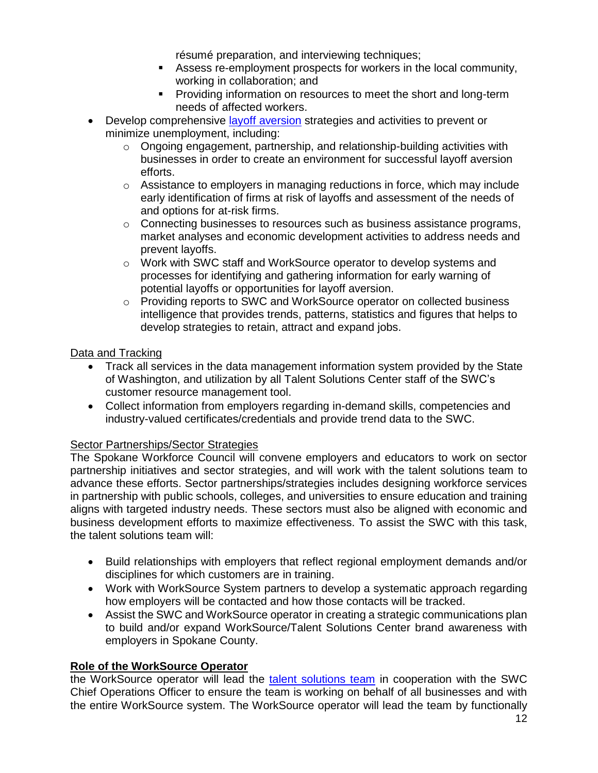résumé preparation, and interviewing techniques;

- Assess re-employment prospects for workers in the local community, working in collaboration; and
- **•** Providing information on resources to meet the short and long-term needs of affected workers.
- Develop comprehensive [layoff aversion](https://businessengagement.workforcegps.org/blog/Rapid-Response/2017/07/19/14/25/Rapid-Response-Regulations-Series-6-Layoff-Aversion) strategies and activities to prevent or minimize unemployment, including:
	- $\circ$  Ongoing engagement, partnership, and relationship-building activities with businesses in order to create an environment for successful layoff aversion efforts.
	- $\circ$  Assistance to employers in managing reductions in force, which may include early identification of firms at risk of layoffs and assessment of the needs of and options for at-risk firms.
	- $\circ$  Connecting businesses to resources such as business assistance programs, market analyses and economic development activities to address needs and prevent layoffs.
	- $\circ$  Work with SWC staff and WorkSource operator to develop systems and processes for identifying and gathering information for early warning of potential layoffs or opportunities for layoff aversion.
	- o Providing reports to SWC and WorkSource operator on collected business intelligence that provides trends, patterns, statistics and figures that helps to develop strategies to retain, attract and expand jobs.

## Data and Tracking

- Track all services in the data management information system provided by the State of Washington, and utilization by all Talent Solutions Center staff of the SWC's customer resource management tool.
- Collect information from employers regarding in-demand skills, competencies and industry-valued certificates/credentials and provide trend data to the SWC.

## Sector Partnerships/Sector Strategies

The Spokane Workforce Council will convene employers and educators to work on sector partnership initiatives and sector strategies, and will work with the talent solutions team to advance these efforts. Sector partnerships/strategies includes designing workforce services in partnership with public schools, colleges, and universities to ensure education and training aligns with targeted industry needs. These sectors must also be aligned with economic and business development efforts to maximize effectiveness. To assist the SWC with this task, the talent solutions team will:

- Build relationships with employers that reflect regional employment demands and/or disciplines for which customers are in training.
- Work with WorkSource System partners to develop a systematic approach regarding how employers will be contacted and how those contacts will be tracked.
- Assist the SWC and WorkSource operator in creating a strategic communications plan to build and/or expand WorkSource/Talent Solutions Center brand awareness with employers in Spokane County.

## **Role of the WorkSource Operator**

the WorkSource operator will lead the [talent solutions team](https://worksourcespokane.com/for-employers) in cooperation with the SWC Chief Operations Officer to ensure the team is working on behalf of all businesses and with the entire WorkSource system. The WorkSource operator will lead the team by functionally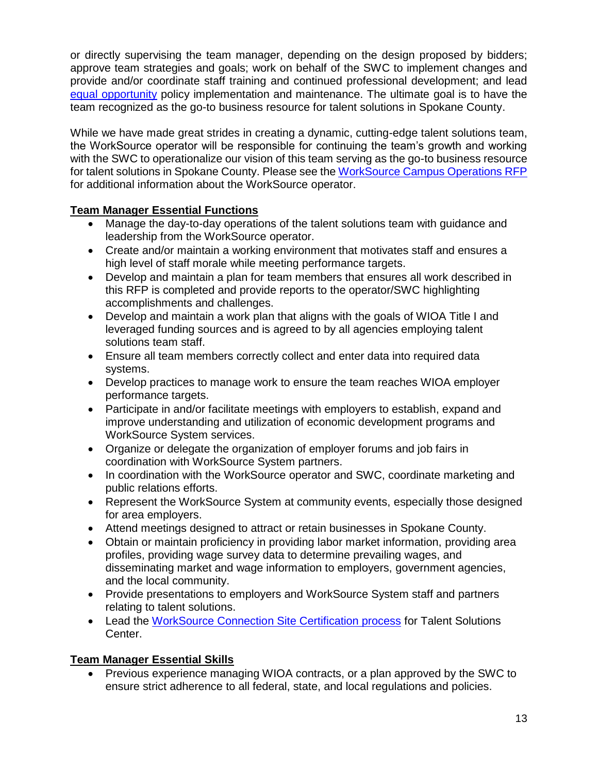or directly supervising the team manager, depending on the design proposed by bidders; approve team strategies and goals; work on behalf of the SWC to implement changes and provide and/or coordinate staff training and continued professional development; and lead [equal opportunity](https://wdcspokane.com/core/files/wdcspokane/uploads/files/G105-EEO%20reformated%2011-2012.pdf) policy implementation and maintenance. The ultimate goal is to have the team recognized as the go-to business resource for talent solutions in Spokane County.

While we have made great strides in creating a dynamic, cutting-edge talent solutions team, the WorkSource operator will be responsible for continuing the team's growth and working with the SWC to operationalize our vision of this team serving as the go-to business resource for talent solutions in Spokane County. Please see the [WorkSource Campus Operations RFP](https://wdcspokane.com/rfps) for additional information about the WorkSource operator.

## **Team Manager Essential Functions**

- Manage the day-to-day operations of the talent solutions team with guidance and leadership from the WorkSource operator.
- Create and/or maintain a working environment that motivates staff and ensures a high level of staff morale while meeting performance targets.
- Develop and maintain a plan for team members that ensures all work described in this RFP is completed and provide reports to the operator/SWC highlighting accomplishments and challenges.
- Develop and maintain a work plan that aligns with the goals of WIOA Title I and leveraged funding sources and is agreed to by all agencies employing talent solutions team staff.
- Ensure all team members correctly collect and enter data into required data systems.
- Develop practices to manage work to ensure the team reaches WIOA employer performance targets.
- Participate in and/or facilitate meetings with employers to establish, expand and improve understanding and utilization of economic development programs and WorkSource System services.
- Organize or delegate the organization of employer forums and job fairs in coordination with WorkSource System partners.
- In coordination with the WorkSource operator and SWC, coordinate marketing and public relations efforts.
- Represent the WorkSource System at community events, especially those designed for area employers.
- Attend meetings designed to attract or retain businesses in Spokane County.
- Obtain or maintain proficiency in providing labor market information, providing area profiles, providing wage survey data to determine prevailing wages, and disseminating market and wage information to employers, government agencies, and the local community.
- Provide presentations to employers and WorkSource System staff and partners relating to talent solutions.
- Lead the [WorkSource Connection Site Certification process](http://media.wpc.wa.gov/media/WPC/adm/policy/5612.pdf) for Talent Solutions Center.

# **Team Manager Essential Skills**

• Previous experience managing WIOA contracts, or a plan approved by the SWC to ensure strict adherence to all federal, state, and local regulations and policies.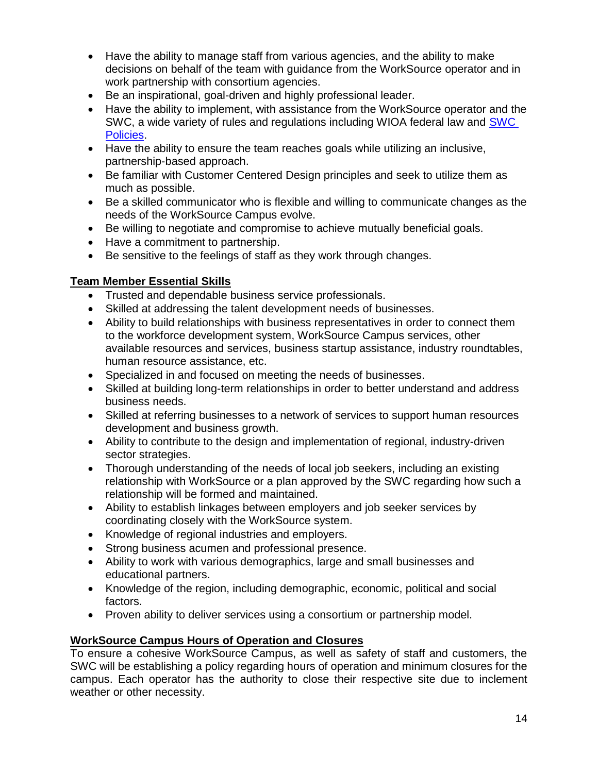- Have the ability to manage staff from various agencies, and the ability to make decisions on behalf of the team with guidance from the WorkSource operator and in work partnership with consortium agencies.
- Be an inspirational, goal-driven and highly professional leader.
- Have the ability to implement, with assistance from the WorkSource operator and the SWC, a wide variety of rules and regulations including WIOA federal law and [SWC](https://wdcspokane.com/policies)  [Policies.](https://wdcspokane.com/policies)
- Have the ability to ensure the team reaches goals while utilizing an inclusive, partnership-based approach.
- Be familiar with Customer Centered Design principles and seek to utilize them as much as possible.
- Be a skilled communicator who is flexible and willing to communicate changes as the needs of the WorkSource Campus evolve.
- Be willing to negotiate and compromise to achieve mutually beneficial goals.
- Have a commitment to partnership.
- Be sensitive to the feelings of staff as they work through changes.

## **Team Member Essential Skills**

- Trusted and dependable business service professionals.
- Skilled at addressing the talent development needs of businesses.
- Ability to build relationships with business representatives in order to connect them to the workforce development system, WorkSource Campus services, other available resources and services, business startup assistance, industry roundtables, human resource assistance, etc.
- Specialized in and focused on meeting the needs of businesses.
- Skilled at building long-term relationships in order to better understand and address business needs.
- Skilled at referring businesses to a network of services to support human resources development and business growth.
- Ability to contribute to the design and implementation of regional, industry-driven sector strategies.
- Thorough understanding of the needs of local job seekers, including an existing relationship with WorkSource or a plan approved by the SWC regarding how such a relationship will be formed and maintained.
- Ability to establish linkages between employers and job seeker services by coordinating closely with the WorkSource system.
- Knowledge of regional industries and employers.
- Strong business acumen and professional presence.
- Ability to work with various demographics, large and small businesses and educational partners.
- Knowledge of the region, including demographic, economic, political and social factors.
- Proven ability to deliver services using a consortium or partnership model.

# **WorkSource Campus Hours of Operation and Closures**

To ensure a cohesive WorkSource Campus, as well as safety of staff and customers, the SWC will be establishing a policy regarding hours of operation and minimum closures for the campus. Each operator has the authority to close their respective site due to inclement weather or other necessity.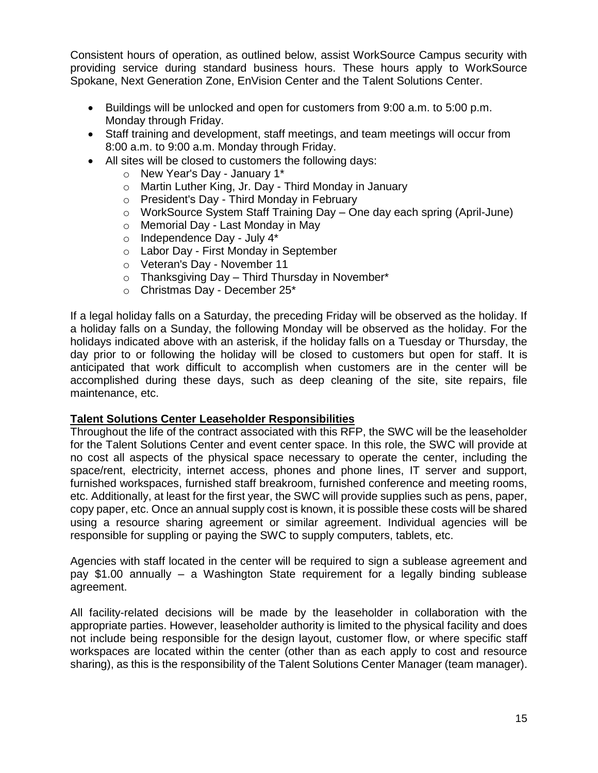Consistent hours of operation, as outlined below, assist WorkSource Campus security with providing service during standard business hours. These hours apply to WorkSource Spokane, Next Generation Zone, EnVision Center and the Talent Solutions Center.

- Buildings will be unlocked and open for customers from 9:00 a.m. to 5:00 p.m. Monday through Friday.
- Staff training and development, staff meetings, and team meetings will occur from 8:00 a.m. to 9:00 a.m. Monday through Friday.
- All sites will be closed to customers the following days:
	- o New Year's Day January 1\*
	- o Martin Luther King, Jr. Day Third Monday in January
	- o President's Day Third Monday in February
	- o WorkSource System Staff Training Day One day each spring (April-June)
	- o Memorial Day Last Monday in May
	- o Independence Day July 4\*
	- o Labor Day First Monday in September
	- o Veteran's Day November 11
	- $\circ$  Thanksgiving Day Third Thursday in November\*
	- o Christmas Day December 25\*

If a legal holiday falls on a Saturday, the preceding Friday will be observed as the holiday. If a holiday falls on a Sunday, the following Monday will be observed as the holiday. For the holidays indicated above with an asterisk, if the holiday falls on a Tuesday or Thursday, the day prior to or following the holiday will be closed to customers but open for staff. It is anticipated that work difficult to accomplish when customers are in the center will be accomplished during these days, such as deep cleaning of the site, site repairs, file maintenance, etc.

#### **Talent Solutions Center Leaseholder Responsibilities**

Throughout the life of the contract associated with this RFP, the SWC will be the leaseholder for the Talent Solutions Center and event center space. In this role, the SWC will provide at no cost all aspects of the physical space necessary to operate the center, including the space/rent, electricity, internet access, phones and phone lines, IT server and support, furnished workspaces, furnished staff breakroom, furnished conference and meeting rooms, etc. Additionally, at least for the first year, the SWC will provide supplies such as pens, paper, copy paper, etc. Once an annual supply cost is known, it is possible these costs will be shared using a resource sharing agreement or similar agreement. Individual agencies will be responsible for suppling or paying the SWC to supply computers, tablets, etc.

Agencies with staff located in the center will be required to sign a sublease agreement and pay \$1.00 annually – a Washington State requirement for a legally binding sublease agreement.

All facility-related decisions will be made by the leaseholder in collaboration with the appropriate parties. However, leaseholder authority is limited to the physical facility and does not include being responsible for the design layout, customer flow, or where specific staff workspaces are located within the center (other than as each apply to cost and resource sharing), as this is the responsibility of the Talent Solutions Center Manager (team manager).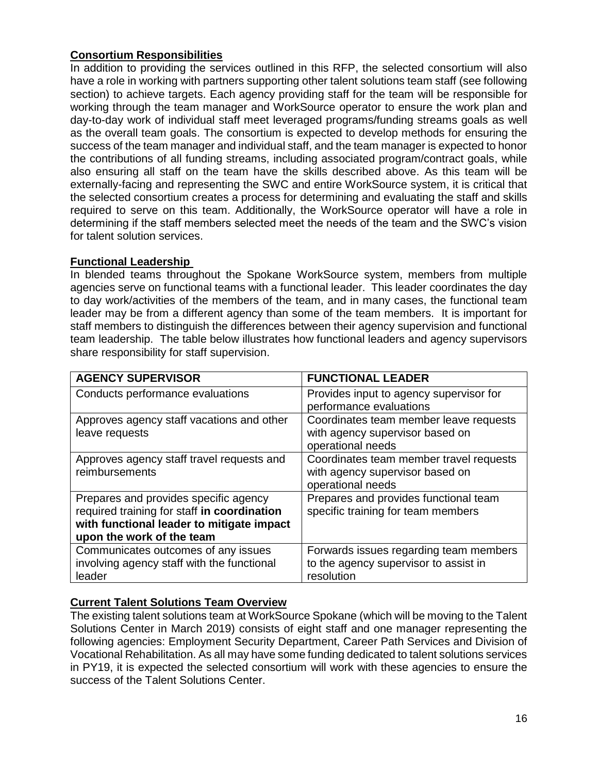## **Consortium Responsibilities**

In addition to providing the services outlined in this RFP, the selected consortium will also have a role in working with partners supporting other talent solutions team staff (see following section) to achieve targets. Each agency providing staff for the team will be responsible for working through the team manager and WorkSource operator to ensure the work plan and day-to-day work of individual staff meet leveraged programs/funding streams goals as well as the overall team goals. The consortium is expected to develop methods for ensuring the success of the team manager and individual staff, and the team manager is expected to honor the contributions of all funding streams, including associated program/contract goals, while also ensuring all staff on the team have the skills described above. As this team will be externally-facing and representing the SWC and entire WorkSource system, it is critical that the selected consortium creates a process for determining and evaluating the staff and skills required to serve on this team. Additionally, the WorkSource operator will have a role in determining if the staff members selected meet the needs of the team and the SWC's vision for talent solution services.

## **Functional Leadership**

In blended teams throughout the Spokane WorkSource system, members from multiple agencies serve on functional teams with a functional leader. This leader coordinates the day to day work/activities of the members of the team, and in many cases, the functional team leader may be from a different agency than some of the team members. It is important for staff members to distinguish the differences between their agency supervision and functional team leadership. The table below illustrates how functional leaders and agency supervisors share responsibility for staff supervision.

| <b>AGENCY SUPERVISOR</b>                    | <b>FUNCTIONAL LEADER</b>                |
|---------------------------------------------|-----------------------------------------|
| Conducts performance evaluations            | Provides input to agency supervisor for |
|                                             | performance evaluations                 |
| Approves agency staff vacations and other   | Coordinates team member leave requests  |
| leave requests                              | with agency supervisor based on         |
|                                             | operational needs                       |
| Approves agency staff travel requests and   | Coordinates team member travel requests |
| reimbursements                              | with agency supervisor based on         |
|                                             | operational needs                       |
| Prepares and provides specific agency       | Prepares and provides functional team   |
| required training for staff in coordination | specific training for team members      |
| with functional leader to mitigate impact   |                                         |
| upon the work of the team                   |                                         |
| Communicates outcomes of any issues         | Forwards issues regarding team members  |
| involving agency staff with the functional  | to the agency supervisor to assist in   |
| leader                                      | resolution                              |

# **Current Talent Solutions Team Overview**

The existing talent solutions team at WorkSource Spokane (which will be moving to the Talent Solutions Center in March 2019) consists of eight staff and one manager representing the following agencies: Employment Security Department, Career Path Services and Division of Vocational Rehabilitation. As all may have some funding dedicated to talent solutions services in PY19, it is expected the selected consortium will work with these agencies to ensure the success of the Talent Solutions Center.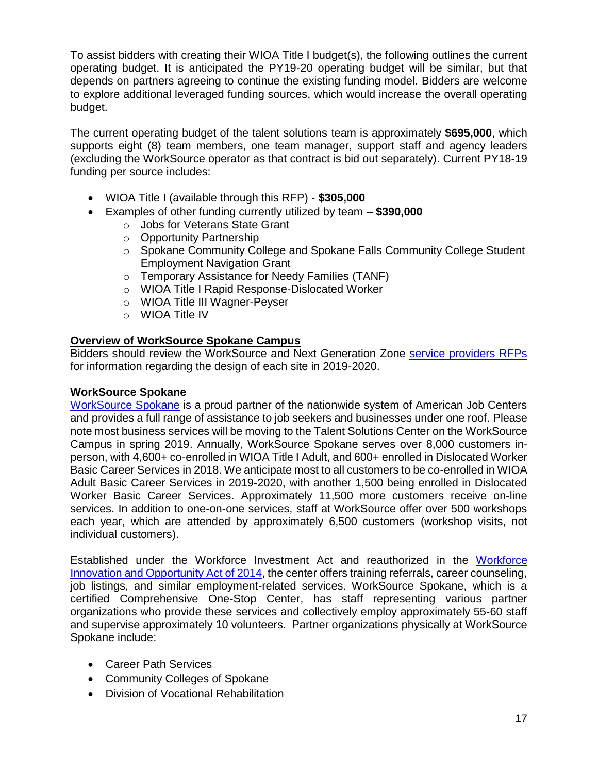To assist bidders with creating their WIOA Title I budget(s), the following outlines the current operating budget. It is anticipated the PY19-20 operating budget will be similar, but that depends on partners agreeing to continue the existing funding model. Bidders are welcome to explore additional leveraged funding sources, which would increase the overall operating budget.

The current operating budget of the talent solutions team is approximately **\$695,000**, which supports eight (8) team members, one team manager, support staff and agency leaders (excluding the WorkSource operator as that contract is bid out separately). Current PY18-19 funding per source includes:

- WIOA Title I (available through this RFP) **\$305,000**
- Examples of other funding currently utilized by team **\$390,000**
	- o Jobs for Veterans State Grant
	- o Opportunity Partnership
	- o Spokane Community College and Spokane Falls Community College Student Employment Navigation Grant
	- o Temporary Assistance for Needy Families (TANF)
	- o WIOA Title I Rapid Response-Dislocated Worker
	- o WIOA Title III Wagner-Peyser
	- o WIOA Title IV

#### **Overview of WorkSource Spokane Campus**

Bidders should review the WorkSource and Next Generation Zone [service providers RFPs](https://wdcspokane.com/rfps) for information regarding the design of each site in 2019-2020.

#### **WorkSource Spokane**

[WorkSource Spokane](https://worksourcespokane.com/) is a proud partner of the nationwide system of American Job Centers and provides a full range of assistance to job seekers and businesses under one roof. Please note most business services will be moving to the Talent Solutions Center on the WorkSource Campus in spring 2019. Annually, WorkSource Spokane serves over 8,000 customers inperson, with 4,600+ co-enrolled in WIOA Title I Adult, and 600+ enrolled in Dislocated Worker Basic Career Services in 2018. We anticipate most to all customers to be co-enrolled in WIOA Adult Basic Career Services in 2019-2020, with another 1,500 being enrolled in Dislocated Worker Basic Career Services. Approximately 11,500 more customers receive on-line services. In addition to one-on-one services, staff at WorkSource offer over 500 workshops each year, which are attended by approximately 6,500 customers (workshop visits, not individual customers).

Established under the Workforce Investment Act and reauthorized in the [Workforce](https://www.doleta.gov/wioa/)  [Innovation and Opportunity Act of 2014,](https://www.doleta.gov/wioa/) the center offers training referrals, career counseling, job listings, and similar employment-related services. WorkSource Spokane, which is a certified Comprehensive One-Stop Center, has staff representing various partner organizations who provide these services and collectively employ approximately 55-60 staff and supervise approximately 10 volunteers. Partner organizations physically at WorkSource Spokane include:

- Career Path Services
- Community Colleges of Spokane
- Division of Vocational Rehabilitation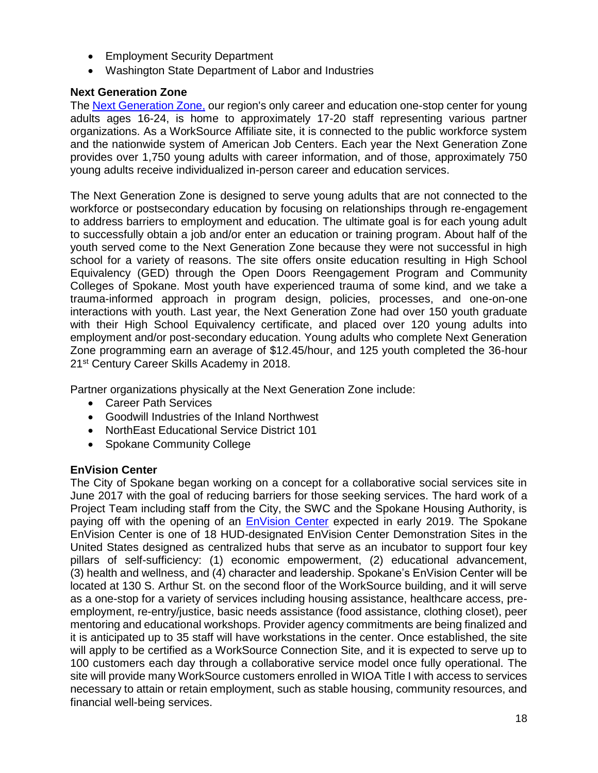- Employment Security Department
- Washington State Department of Labor and Industries

#### **Next Generation Zone**

The [Next Generation Zone,](https://nextgenzone.org/) our region's only career and education one-stop center for young adults ages 16-24, is home to approximately 17-20 staff representing various partner organizations. As a WorkSource Affiliate site, it is connected to the public workforce system and the nationwide system of American Job Centers. Each year the Next Generation Zone provides over 1,750 young adults with career information, and of those, approximately 750 young adults receive individualized in-person career and education services.

The Next Generation Zone is designed to serve young adults that are not connected to the workforce or postsecondary education by focusing on relationships through re-engagement to address barriers to employment and education. The ultimate goal is for each young adult to successfully obtain a job and/or enter an education or training program. About half of the youth served come to the Next Generation Zone because they were not successful in high school for a variety of reasons. The site offers onsite education resulting in High School Equivalency (GED) through the Open Doors Reengagement Program and Community Colleges of Spokane. Most youth have experienced trauma of some kind, and we take a trauma-informed approach in program design, policies, processes, and one-on-one interactions with youth. Last year, the Next Generation Zone had over 150 youth graduate with their High School Equivalency certificate, and placed over 120 young adults into employment and/or post-secondary education. Young adults who complete Next Generation Zone programming earn an average of \$12.45/hour, and 125 youth completed the 36-hour 21<sup>st</sup> Century Career Skills Academy in 2018.

Partner organizations physically at the Next Generation Zone include:

- Career Path Services
- Goodwill Industries of the Inland Northwest
- NorthEast Educational Service District 101
- Spokane Community College

#### **EnVision Center**

The City of Spokane began working on a concept for a collaborative social services site in June 2017 with the goal of reducing barriers for those seeking services. The hard work of a Project Team including staff from the City, the SWC and the Spokane Housing Authority, is paying off with the opening of an [EnVision Center](https://www.hud.gov/envisioncenters) expected in early 2019. The Spokane EnVision Center is one of 18 HUD-designated EnVision Center Demonstration Sites in the United States designed as centralized hubs that serve as an incubator to support four key pillars of self-sufficiency: (1) economic empowerment, (2) educational advancement, (3) health and wellness, and (4) character and leadership. Spokane's EnVision Center will be located at 130 S. Arthur St. on the second floor of the WorkSource building, and it will serve as a one-stop for a variety of services including housing assistance, healthcare access, preemployment, re-entry/justice, basic needs assistance (food assistance, clothing closet), peer mentoring and educational workshops. Provider agency commitments are being finalized and it is anticipated up to 35 staff will have workstations in the center. Once established, the site will apply to be certified as a WorkSource Connection Site, and it is expected to serve up to 100 customers each day through a collaborative service model once fully operational. The site will provide many WorkSource customers enrolled in WIOA Title I with access to services necessary to attain or retain employment, such as stable housing, community resources, and financial well-being services.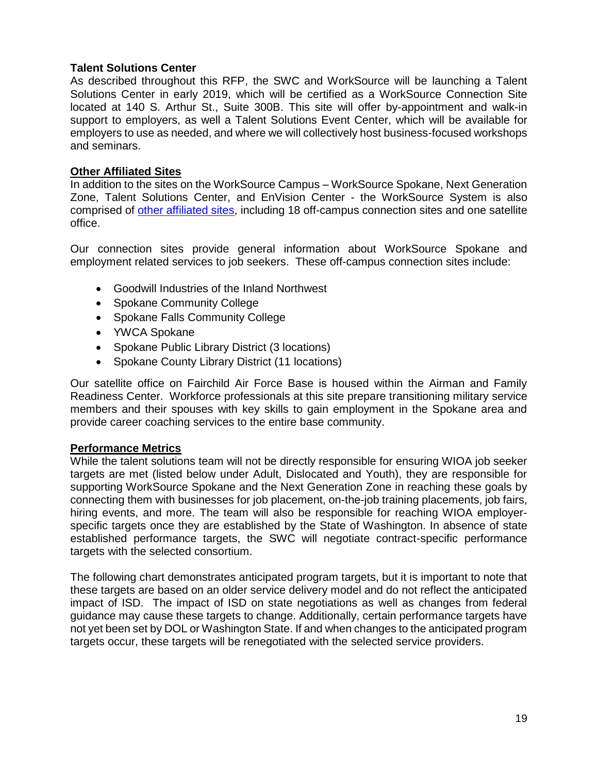#### **Talent Solutions Center**

As described throughout this RFP, the SWC and WorkSource will be launching a Talent Solutions Center in early 2019, which will be certified as a WorkSource Connection Site located at 140 S. Arthur St., Suite 300B. This site will offer by-appointment and walk-in support to employers, as well a Talent Solutions Event Center, which will be available for employers to use as needed, and where we will collectively host business-focused workshops and seminars.

#### **Other Affiliated Sites**

In addition to the sites on the WorkSource Campus – WorkSource Spokane, Next Generation Zone, Talent Solutions Center, and EnVision Center - the WorkSource System is also comprised of [other affiliated sites,](https://worksourcespokane.com/partners) including 18 off-campus connection sites and one satellite office.

Our connection sites provide general information about WorkSource Spokane and employment related services to job seekers. These off-campus connection sites include:

- Goodwill Industries of the Inland Northwest
- Spokane Community College
- Spokane Falls Community College
- YWCA Spokane
- Spokane Public Library District (3 locations)
- Spokane County Library District (11 locations)

Our satellite office on Fairchild Air Force Base is housed within the Airman and Family Readiness Center. Workforce professionals at this site prepare transitioning military service members and their spouses with key skills to gain employment in the Spokane area and provide career coaching services to the entire base community.

#### **Performance Metrics**

While the talent solutions team will not be directly responsible for ensuring WIOA job seeker targets are met (listed below under Adult, Dislocated and Youth), they are responsible for supporting WorkSource Spokane and the Next Generation Zone in reaching these goals by connecting them with businesses for job placement, on-the-job training placements, job fairs, hiring events, and more. The team will also be responsible for reaching WIOA employerspecific targets once they are established by the State of Washington. In absence of state established performance targets, the SWC will negotiate contract-specific performance targets with the selected consortium.

The following chart demonstrates anticipated program targets, but it is important to note that these targets are based on an older service delivery model and do not reflect the anticipated impact of ISD. The impact of ISD on state negotiations as well as changes from federal guidance may cause these targets to change. Additionally, certain performance targets have not yet been set by DOL or Washington State. If and when changes to the anticipated program targets occur, these targets will be renegotiated with the selected service providers.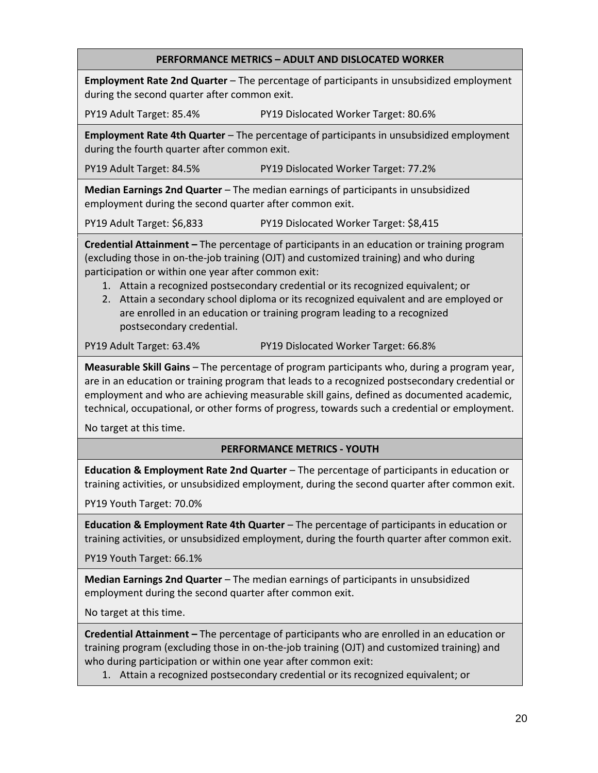#### **PERFORMANCE METRICS – ADULT AND DISLOCATED WORKER**

**Employment Rate 2nd Quarter** – The percentage of participants in unsubsidized employment during the second quarter after common exit.

PY19 Adult Target: 85.4% PY19 Dislocated Worker Target: 80.6%

**Employment Rate 4th Quarter** – The percentage of participants in unsubsidized employment during the fourth quarter after common exit.

PY19 Adult Target: 84.5% PY19 Dislocated Worker Target: 77.2%

**Median Earnings 2nd Quarter** – The median earnings of participants in unsubsidized employment during the second quarter after common exit.

PY19 Adult Target: \$6,833 PY19 Dislocated Worker Target: \$8,415

**Credential Attainment –** The percentage of participants in an education or training program (excluding those in on-the-job training (OJT) and customized training) and who during participation or within one year after common exit:

- 1. Attain a recognized postsecondary credential or its recognized equivalent; or
- 2. Attain a secondary school diploma or its recognized equivalent and are employed or are enrolled in an education or training program leading to a recognized postsecondary credential.

PY19 Adult Target: 63.4% PY19 Dislocated Worker Target: 66.8%

**Measurable Skill Gains** – The percentage of program participants who, during a program year, are in an education or training program that leads to a recognized postsecondary credential or employment and who are achieving measurable skill gains, defined as documented academic, technical, occupational, or other forms of progress, towards such a credential or employment.

No target at this time.

#### **PERFORMANCE METRICS - YOUTH**

**Education & Employment Rate 2nd Quarter** – The percentage of participants in education or training activities, or unsubsidized employment, during the second quarter after common exit.

PY19 Youth Target: 70.0%

**Education & Employment Rate 4th Quarter** – The percentage of participants in education or training activities, or unsubsidized employment, during the fourth quarter after common exit.

PY19 Youth Target: 66.1%

**Median Earnings 2nd Quarter** – The median earnings of participants in unsubsidized employment during the second quarter after common exit.

No target at this time.

**Credential Attainment –** The percentage of participants who are enrolled in an education or training program (excluding those in on-the-job training (OJT) and customized training) and who during participation or within one year after common exit:

1. Attain a recognized postsecondary credential or its recognized equivalent; or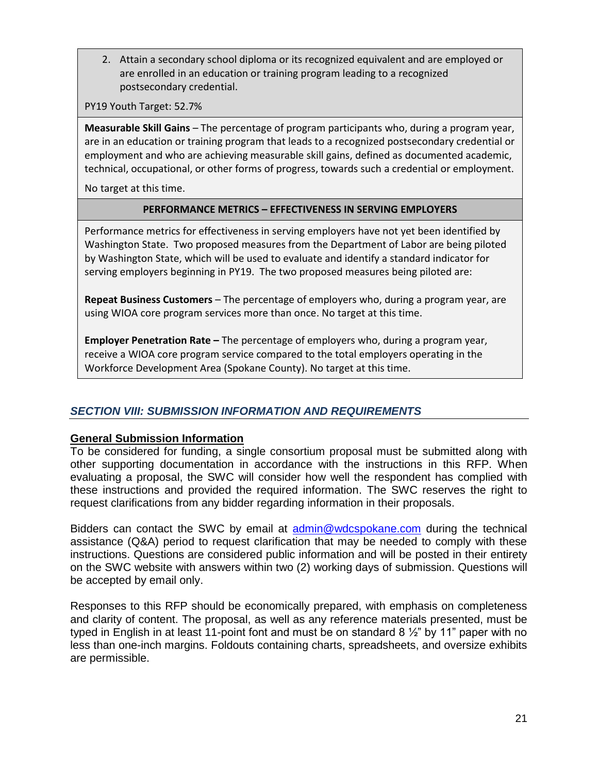2. Attain a secondary school diploma or its recognized equivalent and are employed or are enrolled in an education or training program leading to a recognized postsecondary credential.

PY19 Youth Target: 52.7%

**Measurable Skill Gains** – The percentage of program participants who, during a program year, are in an education or training program that leads to a recognized postsecondary credential or employment and who are achieving measurable skill gains, defined as documented academic, technical, occupational, or other forms of progress, towards such a credential or employment.

No target at this time.

#### **PERFORMANCE METRICS – EFFECTIVENESS IN SERVING EMPLOYERS**

Performance metrics for effectiveness in serving employers have not yet been identified by Washington State. Two proposed measures from the Department of Labor are being piloted by Washington State, which will be used to evaluate and identify a standard indicator for serving employers beginning in PY19. The two proposed measures being piloted are:

**Repeat Business Customers** – The percentage of employers who, during a program year, are using WIOA core program services more than once. No target at this time.

**Employer Penetration Rate –** The percentage of employers who, during a program year, receive a WIOA core program service compared to the total employers operating in the Workforce Development Area (Spokane County). No target at this time.

## *SECTION VIII: SUBMISSION INFORMATION AND REQUIREMENTS*

#### **General Submission Information**

To be considered for funding, a single consortium proposal must be submitted along with other supporting documentation in accordance with the instructions in this RFP. When evaluating a proposal, the SWC will consider how well the respondent has complied with these instructions and provided the required information. The SWC reserves the right to request clarifications from any bidder regarding information in their proposals.

Bidders can contact the SWC by email at [admin@wdcspokane.com](mailto:admin@wdcspokane.com) during the technical assistance (Q&A) period to request clarification that may be needed to comply with these instructions. Questions are considered public information and will be posted in their entirety on the SWC website with answers within two (2) working days of submission. Questions will be accepted by email only.

Responses to this RFP should be economically prepared, with emphasis on completeness and clarity of content. The proposal, as well as any reference materials presented, must be typed in English in at least 11-point font and must be on standard 8  $\frac{1}{2}$ " by 11" paper with no less than one-inch margins. Foldouts containing charts, spreadsheets, and oversize exhibits are permissible.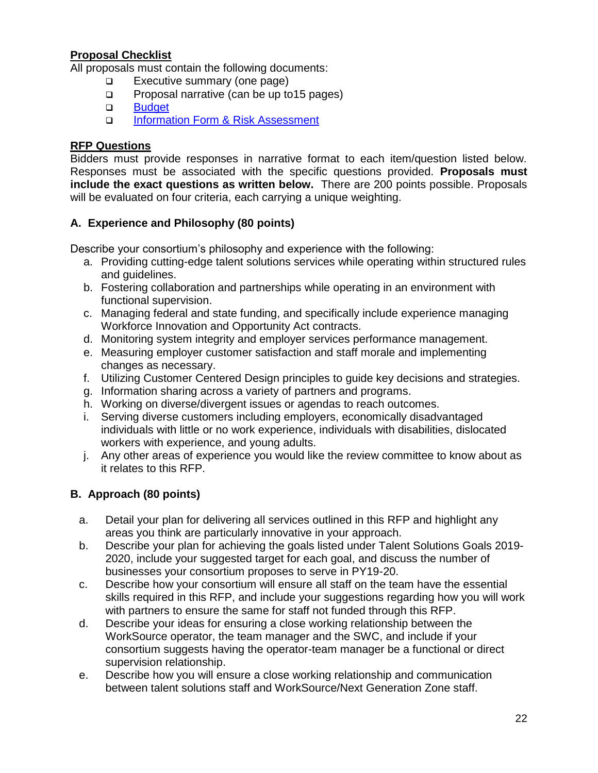## **Proposal Checklist**

All proposals must contain the following documents:

- ❑ Executive summary (one page)
- ❑ Proposal narrative (can be up to15 pages)
- ❑ [Budget](https://wdcspokane.com/rfps)
- □ Information Form [& Risk Assessment](https://wdcspokane.com/rfps)

## **RFP Questions**

Bidders must provide responses in narrative format to each item/question listed below. Responses must be associated with the specific questions provided. **Proposals must include the exact questions as written below.** There are 200 points possible. Proposals will be evaluated on four criteria, each carrying a unique weighting.

## **A. Experience and Philosophy (80 points)**

Describe your consortium's philosophy and experience with the following:

- a. Providing cutting-edge talent solutions services while operating within structured rules and guidelines.
- b. Fostering collaboration and partnerships while operating in an environment with functional supervision.
- c. Managing federal and state funding, and specifically include experience managing Workforce Innovation and Opportunity Act contracts.
- d. Monitoring system integrity and employer services performance management.
- e. Measuring employer customer satisfaction and staff morale and implementing changes as necessary.
- f. Utilizing Customer Centered Design principles to guide key decisions and strategies.
- g. Information sharing across a variety of partners and programs.
- h. Working on diverse/divergent issues or agendas to reach outcomes.
- i. Serving diverse customers including employers, economically disadvantaged individuals with little or no work experience, individuals with disabilities, dislocated workers with experience, and young adults.
- j. Any other areas of experience you would like the review committee to know about as it relates to this RFP.

## **B. Approach (80 points)**

- a. Detail your plan for delivering all services outlined in this RFP and highlight any areas you think are particularly innovative in your approach.
- b. Describe your plan for achieving the goals listed under Talent Solutions Goals 2019- 2020, include your suggested target for each goal, and discuss the number of businesses your consortium proposes to serve in PY19-20.
- c. Describe how your consortium will ensure all staff on the team have the essential skills required in this RFP, and include your suggestions regarding how you will work with partners to ensure the same for staff not funded through this RFP.
- d. Describe your ideas for ensuring a close working relationship between the WorkSource operator, the team manager and the SWC, and include if your consortium suggests having the operator-team manager be a functional or direct supervision relationship.
- e. Describe how you will ensure a close working relationship and communication between talent solutions staff and WorkSource/Next Generation Zone staff.